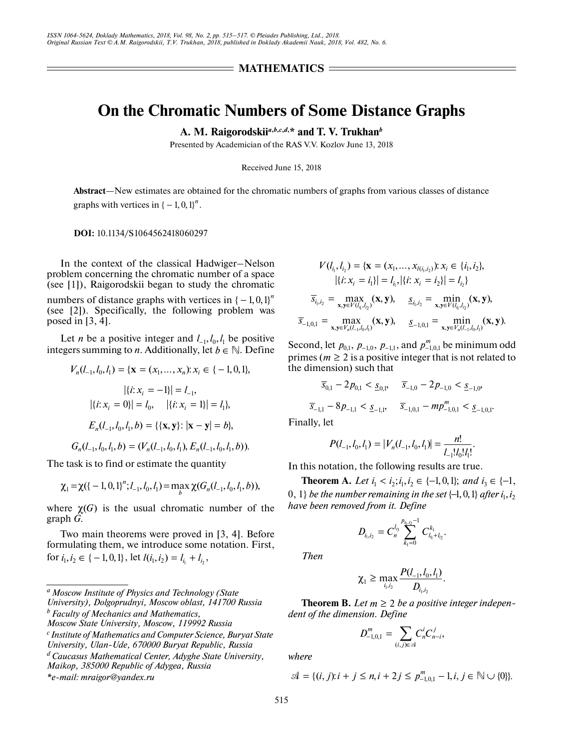## **MATHEMATICS =**

# **On the Chromatic Numbers of Some Distance Graphs**

**A. M. Raigorodskii***<sup>a</sup>***,***b***,***c***,***d***, \* and T. V. Trukhan***<sup>b</sup>*

Presented by Academician of the RAS V.V. Kozlov June 13, 2018

Received June 15, 2018

**Abstract**—New estimates are obtained for the chromatic numbers of graphs from various classes of distance graphs with vertices in  $\{-1, 0, 1\}^n$ .

**DOI:** 10.1134/S1064562418060297

In the context of the classical Hadwiger–Nelson problem concerning the chromatic number of a space (see [1]), Raigorodskii began to study the chromatic

numbers of distance graphs with vertices in  $(-1, 0, 1)^n$ (see [2]). Specifically, the following problem was posed in [3, 4].

Let *n* be a positive integer and  $l_{-1}$ ,  $l_0$ ,  $l_1$  be positive integers summing to *n*. Additionally, let  $b \in \mathbb{N}$ . Define

$$
V_n(l_{-1}, l_0, l_1) = \{ \mathbf{x} = (x_1, ..., x_n): x_i \in \{ -1, 0, 1 \},
$$

$$
|\{i: x_i = -1\}| = l_{-1},
$$

$$
|\{i: x_i = 0 \}| = l_0, \quad |\{i: x_i = 1 \}| = l_1 \},
$$

$$
E_n(l_{-1}, l_0, l_1, b) = \{\{ \mathbf{x}, \mathbf{y} \}: |\mathbf{x} - \mathbf{y}| = b \},
$$

$$
G_n(l_{-1}, l_0, l_1, b) = (V_n(l_{-1}, l_0, l_1), E_n(l_{-1}, l_0, l_1, b)).
$$

The task is to find or estimate the quantity

$$
\chi_1 = \chi(\{-1, 0, 1\}^n; l_{-1}, l_0, l_1) = \max_b \chi(G_n(l_{-1}, l_0, l_1, b)),
$$

where  $\chi(G)$  is the usual chromatic number of the graph *G*.

Two main theorems were proved in [3, 4]. Before formulating them, we introduce some notation. First, for  $i_1, i_2 \in \{-1, 0, 1\}$ , let  $l(i_1, i_2) = l_{i_1} + l_{i_2}$ ,

*b Faculty of Mechanics and Mathematics,* 

$$
V(l_{i_1}, l_{i_2}) = \{ \mathbf{x} = (x_1, ..., x_{l(i_1, i_2)}): x_i \in \{i_1, i_2\},
$$
  
\n
$$
|\{i: x_i = i_1\}| = l_{i_1}\cdot |\{i: x_i = i_2\}| = l_{i_2}\}
$$
  
\n
$$
\overline{s}_{i_1, i_2} = \max_{\mathbf{x}, \mathbf{y} \in V(l_{i_1}, l_{i_2})} (\mathbf{x}, \mathbf{y}), \quad \underline{s}_{i_1, i_2} = \min_{\mathbf{x}, \mathbf{y} \in V(l_{i_1}, l_{i_2})} (\mathbf{x}, \mathbf{y}),
$$
  
\n
$$
\overline{s}_{-1, 0, 1} = \max_{\mathbf{x}, \mathbf{y} \in V_{n}(l_{-1}, l_{0}, l_{1})} (\mathbf{x}, \mathbf{y}), \quad \underline{s}_{-1, 0, 1} = \min_{\mathbf{x}, \mathbf{y} \in V_{n}(l_{-1}, l_{0}, l_{1})} (\mathbf{x}, \mathbf{y}).
$$

Second, let  $p_{0,1}$ ,  $p_{-1,0}$ ,  $p_{-1,1}$ , and  $p_{-1,0,1}^m$  be minimum odd primes ( $m \geq 2$  is a positive integer that is not related to the dimension) such that

$$
\overline{s}_{0,1} - 2p_{0,1} < \underline{s}_{0,1}, \quad \overline{s}_{-1,0} - 2p_{-1,0} < \underline{s}_{-1,0},
$$
\n
$$
\overline{s}_{-1,1} - 8p_{-1,1} < \underline{s}_{-1,1}, \quad \overline{s}_{-1,0,1} - mp_{-1,0,1}^m < \underline{s}_{-1,0,1}.
$$

Finally, let

$$
P(l_{-1}, l_0, l_1) = |V_n(l_{-1}, l_0, l_1)| = \frac{n!}{l_{-1}! l_0! l_1!}.
$$

In this notation, the following results are true.

**Theorem A.** *Let*  $i_1 < i_2; i_1, i_2 \in \{-1, 0, 1\};$  *and*  $i_3 \in \{-1, 0, 1\}$  $\{0, 1\}$  be the number remaining in the set  $\{\text{--}1, 0, 1\}$  after  $i_1, i_2$ *have been removed from it. Define*

$$
D_{i_1,i_2}=C_n^{l_{i_3}}\sum_{k_1=0}^{p_{i_1,j_2}-1}C_{l_{i_1}+l_{i_2}}^{k_1}.
$$

*Then*

$$
\chi_1 \geq \max_{i_1,i_2} \frac{P(l_{-1},l_0,l_1)}{D_{i_1,i_2}}.
$$

**Theorem B.** Let  $m \geq 2$  be a positive integer indepen*dent of the dimension. Define*

$$
D_{-1,0,1}^m = \sum_{(i,j)\in\mathcal{A}} C_n^i C_{n-i}^j,
$$

*where*

$$
\mathcal{A} = \{(i, j): i + j \leq n, i + 2j \leq p_{-1,0,1}^m - 1, i, j \in \mathbb{N} \cup \{0\}\}.
$$

*a Moscow Institute of Physics and Technology (State University), Dolgoprudnyi, Moscow oblast, 141700 Russia*

*Moscow State University, Moscow, 119992 Russia*

*c Institute of Mathematics and Computer Science, Buryat State University, Ulan-Ude, 670000 Buryat Republic, Russia*

*d Caucasus Mathematical Center, Adyghe State University,* 

*Maikop, 385000 Republic of Adygea, Russia*

*<sup>\*</sup>e-mail: mraigor@yandex.ru*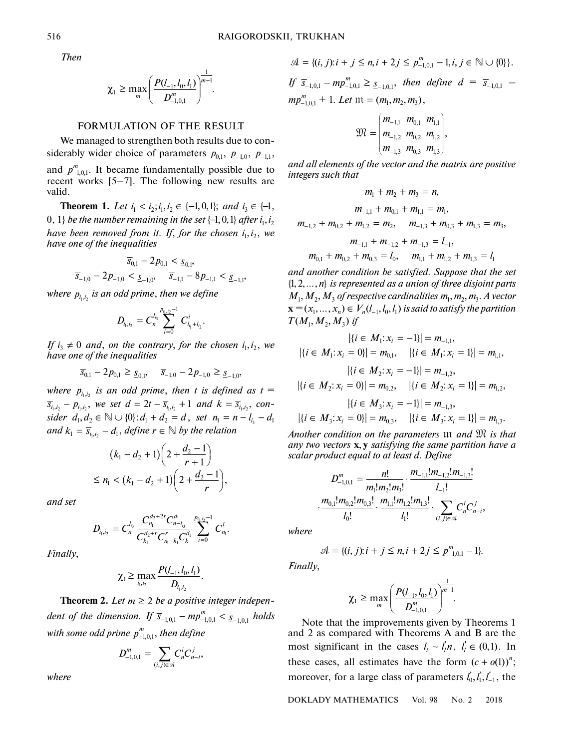*Then*

$$
\chi_1 \geq \max_m \left( \frac{P(l_{-1}, l_0, l_1)}{D_{-1,0,1}^m} \right)^{\frac{1}{m-1}}.
$$

### FORMULATION OF THE RESULT

We managed to strengthen both results due to considerably wider choice of parameters  $p_{0,1}$ ,  $p_{-1,0}$ ,  $p_{-1,1}$ , and  $p_{-1,0,1}^m$ . It became fundamentally possible due to recent works [5–7]. The following new results are valid.

**Theorem 1.** Let  $i_1 < i_2; i_1, i_2 \in \{-1, 0, 1\};$  and  $i_3 \in \{-1, 1\}$  $\{0, 1\}$  be the number remaining in the set  $\{\!\!-\!\! 1, 0, 1\}$  after  $i_1, i_2$ *have been removed from it. If, for the chosen*  $i_1, i_2$ *, we have one of the inequalities*

$$
\overline{s}_{0,1} - 2p_{0,1} < \underline{s}_{0,1},
$$
\n
$$
\overline{s}_{-1,0} - 2p_{-1,0} < \underline{s}_{-1,0}, \quad \overline{s}_{-1,1} - 8p_{-1,1} < \underline{s}_{-1,1},
$$

where  $p_{i_1,i_2}$  is an odd prime, then we define

$$
D_{i_1,i_2}=C_n^{l_{i_3}}\sum_{i=0}^{p_{i_1,i_2}-1}C_{l_{i_1}+l_{i_2}}^i.
$$

*If*  $i_3 \neq 0$  and, on the contrary, for the chosen  $i_1, i_2$ , we *have one of the inequalities*

$$
\overline{s}_{0,1} - 2p_{0,1} \geq \underline{s}_{0,1}, \quad \overline{s}_{-1,0} - 2p_{-1,0} \geq \underline{s}_{-1,0},
$$

where  $p_{i_1,i_2}$  is an odd prime, then t is defined as  $t =$  $\overline{s}_{i_1,i_2} - p_{i_1,i_2}$ , we set  $d = 2t - \overline{s}_{i_1,i_2} + 1$  and  $k = \overline{s}_{i_1,i_2}$ , con*sider*  $d_1, d_2 \in \mathbb{N} \cup \{0\}: d_1 + d_2 = d$ , set  $n_1 = n - l_{i_3} - d_1$ and  $k_1 = \overline{s}_{i_1,i_2} - d_1$ , define  $r \in \mathbb{N}$  by the relation

$$
(k_1 - d_2 + 1) \left( 2 + \frac{d_2 - 1}{r + 1} \right)
$$
  
\n
$$
\le n_1 < (k_1 - d_2 + 1) \left( 2 + \frac{d_2 - 1}{r} \right),
$$

*and set*

$$
D_{i_1,i_2}=C_n^{l_{i_3}}\frac{C_{n_1}^{d_2+2r}C_{n-l_{i_3}}^{d_1}}{C_{k_1}^{d_2+r}C_{n_1-k_1}^rC_k^{d_1}}\sum_{i=0}^{p_{i_1,i_2}-1}C_{n_1}^i.
$$

*Finally*,

$$
\chi_1 \geq \max_{i_1,i_2} \frac{P(l_{-1},l_0,l_1)}{D_{i_1,i_2}}.
$$

**Theorem 2.** Let  $m \geq 2$  be a positive integer indepen*dent of the dimension.* If  $\overline{s}_{-1,0,1} - mp_{-1,0,1}^m < \underline{s}_{-1,0,1}$  holds with some odd prime  $p_{-1,0,1}^m$ , then define

$$
D^{m}_{-1,0,1}=\sum_{(i,j)\in\mathcal{A}}C^{i}_{n}C^{j}_{n-i},
$$

*where*

*If*  $\bar{s}_{-1,0,1} - mp_{-1,0,1}^m \geq \underline{s}_{-1,0,1}$ , then define  $d = \bar{s}_{-1,0,1}$  –  $mp_{-1,0,1}^m + 1$ . *Let*  $m = (m_1, m_2, m_3)$ ,  $\mathcal{A} = \{(i, j): i + j \leq n, i + 2j \leq p_{-1,0}^m, -1, i, j \in \mathbb{N} \cup \{0\}\}.$ 

$$
\mathfrak{M} = \begin{pmatrix} m_{-1,1} & m_{0,1} & m_{1,1} \\ m_{-1,2} & m_{0,2} & m_{1,2} \\ m_{-1,3} & m_{0,3} & m_{1,3} \end{pmatrix},
$$

*and all elements of the vector and the matrix are positive integers such that*

$$
m_1 + m_2 + m_3 = n,
$$
  
\n
$$
m_{-1,1} + m_{0,1} + m_{1,1} = m_1,
$$
  
\n
$$
m_{-1,2} + m_{0,2} + m_{1,2} = m_2, \quad m_{-1,3} + m_{0,3} + m_{1,3} = m_3,
$$
  
\n
$$
m_{-1,1} + m_{-1,2} + m_{-1,3} = l_{-1},
$$
  
\n
$$
m_{0,1} + m_{0,2} + m_{0,3} = l_0, \quad m_{1,1} + m_{1,2} + m_{1,3} = l_1
$$

*and another condition be satisfied. Suppose that the set*  $\{1, 2, \ldots, n\}$  is represented as a union of three disjoint parts  $M_1, M_2, M_3$  of respective cardinalities  $m_1, m_2, m_3$ . A vector  $\mathbf{x} = (x_1, \ldots, x_n) \in V_n(l_{-1}, l_0, l_1)$  is said to satisfy the partition  $T(M_1, M_2, M_3)$  if

$$
|\{i \in M_1 : x_i = -1\}| = m_{-1,1},
$$
  

$$
|\{i \in M_1 : x_i = 0\}| = m_{0,1}, \quad |\{i \in M_1 : x_i = 1\}| = m_{1,1},
$$
  

$$
|\{i \in M_2 : x_i = -1\}| = m_{-1,2},
$$
  

$$
|\{i \in M_2 : x_i = 0\}| = m_{0,2}, \quad |\{i \in M_2 : x_i = 1\}| = m_{1,2},
$$
  

$$
|\{i \in M_3 : x_i = -1\}| = m_{-1,3},
$$

$$
|\{i \in M_3: x_i = 0\}| = m_{0,3}, \quad |\{i \in M_3: x_i = 1\}| = m_{1,3}.
$$

Another condition on the parameters  $m$  and  $\mathfrak{M}$  is that any two vectors **x**, **y** satisfying the same partition have a *scalar product equal to at least d. Define*

$$
D_{-1,0,1}^{m} = \frac{n!}{m_1! m_2! m_3!} \cdot \frac{m_{-1,1}! m_{-1,2}! m_{-1,3}!}{l_{-1}!}
$$

$$
\cdot \frac{m_{0,1}! m_{0,2}! m_{0,3}!}{l_0!} \cdot \frac{m_{1,1}! m_{1,2}! m_{1,3}!}{l_1!} \cdot \sum_{(i,j) \in \mathcal{A}} C_n^i C_{n-i}^j,
$$

*where*

$$
\mathcal{A} = \{(i, j): i + j \le n, i + 2j \le p_{-1,0,1}^m - 1\}.
$$

*Finally*,

$$
\chi_{1} \geq \max_{m} \left( \frac{P(l_{-1}, l_{0}, l_{1})}{D_{-1,0,1}^{m}} \right)^{\frac{1}{m-1}}.
$$

Note that the improvements given by Theorems 1 and 2 as compared with Theorems A and B are the most significant in the cases  $l_i \sim l'_i n, l'_i \in (0,1)$ . In these cases, all estimates have the form  $(c + o(1))^n$ ; moreover, for a large class of parameters  $l_0, l_1, l_{-1}$ , the

DOKLADY MATHEMATICS Vol. 98 No. 2 2018